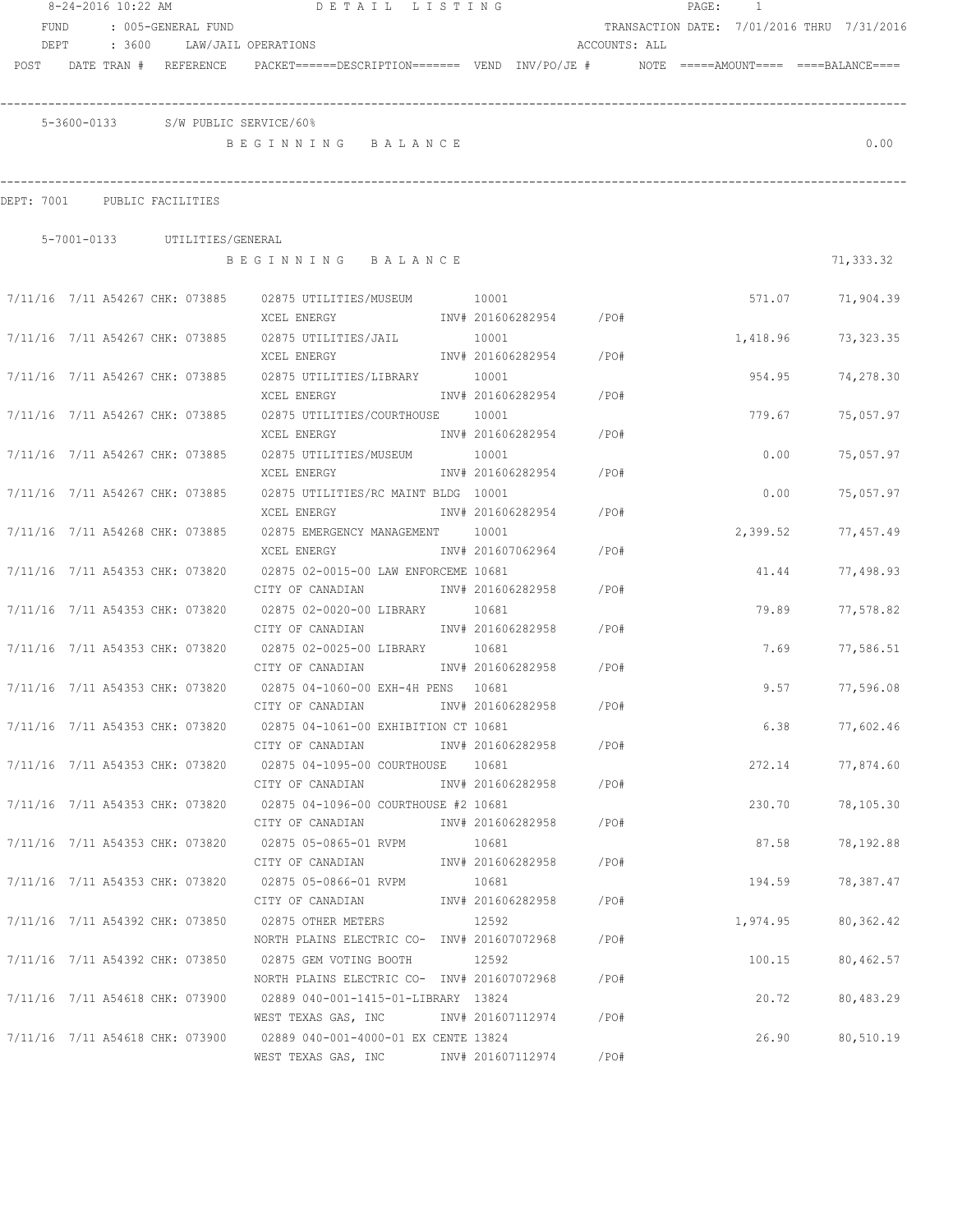|      | 8-24-2016 10:22 AM           |                                    | DETAIL LISTING                                                                                    |                        |               | PAGE: 1  |                                            |
|------|------------------------------|------------------------------------|---------------------------------------------------------------------------------------------------|------------------------|---------------|----------|--------------------------------------------|
| FUND |                              | : 005-GENERAL FUND                 |                                                                                                   |                        |               |          | TRANSACTION DATE: 7/01/2016 THRU 7/31/2016 |
| DEPT |                              | : 3600 LAW/JAIL OPERATIONS         |                                                                                                   |                        | ACCOUNTS: ALL |          |                                            |
|      |                              | POST DATE TRAN # REFERENCE         | PACKET======DESCRIPTION========  VEND  INV/PO/JE #         NOTE  =====AMOUNT====  ====BALANCE==== |                        |               |          |                                            |
|      |                              | 5-3600-0133 S/W PUBLIC SERVICE/60% |                                                                                                   |                        |               |          |                                            |
|      |                              |                                    | BEGINNING BALANCE                                                                                 |                        |               |          | 0.00                                       |
|      | DEPT: 7001 PUBLIC FACILITIES |                                    |                                                                                                   |                        |               |          |                                            |
|      |                              | 5-7001-0133 UTILITIES/GENERAL      |                                                                                                   |                        |               |          |                                            |
|      |                              |                                    | BEGINNING BALANCE                                                                                 |                        |               |          | 71,333.32                                  |
|      |                              |                                    | 7/11/16 7/11 A54267 CHK: 073885 02875 UTILITIES/MUSEUM 10001                                      |                        |               |          | 571.07 71,904.39                           |
|      |                              |                                    |                                                                                                   |                        |               |          |                                            |
|      |                              |                                    | 7/11/16 7/11 A54267 CHK: 073885 02875 UTILITIES/JAIL 10001                                        |                        |               | 1,418.96 | 73, 323.35                                 |
|      |                              |                                    | XCEL ENERGY                                                                                       | INV# 201606282954 /PO# |               |          |                                            |
|      |                              |                                    | 7/11/16 7/11 A54267 CHK: 073885 02875 UTILITIES/LIBRARY 10001                                     |                        |               | 954.95   | 74,278.30                                  |
|      |                              |                                    | XCEL ENERGY                                                                                       | INV# 201606282954 /PO# |               |          |                                            |
|      |                              | 7/11/16 7/11 A54267 CHK: 073885    | 02875 UTILITIES/COURTHOUSE 10001                                                                  |                        |               | 779.67   | 75,057.97                                  |
|      |                              |                                    | XCEL ENERGY                                                                                       | INV# 201606282954 /PO# |               |          |                                            |
|      |                              | 7/11/16 7/11 A54267 CHK: 073885    | 02875 UTILITIES/MUSEUM 10001                                                                      |                        |               | 0.00     | 75,057.97                                  |
|      |                              |                                    | XCEL ENERGY                                                                                       | INV# 201606282954      | /PO#          |          |                                            |
|      |                              | 7/11/16 7/11 A54267 CHK: 073885    | 02875 UTILITIES/RC MAINT BLDG 10001                                                               | INV# 201606282954      | /PO#          | 0.00     | 75,057.97                                  |
|      |                              |                                    | XCEL ENERGY                                                                                       |                        |               |          |                                            |
|      |                              | 7/11/16 7/11 A54268 CHK: 073885    | 02875 EMERGENCY MANAGEMENT 10001<br>XCEL ENERGY                                                   | INV# 201607062964      | /PO#          | 2,399.52 | 77,457.49                                  |
|      |                              | 7/11/16 7/11 A54353 CHK: 073820    | 02875 02-0015-00 LAW ENFORCEME 10681                                                              |                        |               |          | 77,498.93<br>41.44                         |
|      |                              |                                    | CITY OF CANADIAN                                                                                  | INV# 201606282958      | / PO#         |          |                                            |
|      |                              | 7/11/16 7/11 A54353 CHK: 073820    | 02875 02-0020-00 LIBRARY                                                                          | 10681                  |               | 79.89    | 77,578.82                                  |
|      |                              |                                    | CITY OF CANADIAN                                                                                  | INV# 201606282958 /PO# |               |          |                                            |
|      |                              |                                    | 7/11/16 7/11 A54353 CHK: 073820 02875 02-0025-00 LIBRARY 10681                                    |                        |               | 7.69     | 77,586.51                                  |
|      |                              |                                    | CITY OF CANADIAN MOTHOM INV# 201606282958 / PO#                                                   |                        |               |          |                                            |
|      |                              | 7/11/16 7/11 A54353 CHK: 073820    | 02875 04-1060-00 EXH-4H PENS 10681                                                                |                        |               |          | 9.57<br>77,596.08                          |
|      |                              |                                    | CITY OF CANADIAN                                                                                  | INV# 201606282958      | /PO#          |          |                                            |
|      |                              |                                    | 7/11/16 7/11 A54353 CHK: 073820 02875 04-1061-00 EXHIBITION CT 10681                              |                        |               |          | 6.38<br>77,602.46                          |
|      |                              |                                    | CITY OF CANADIAN                                                                                  | INV# 201606282958 /PO# |               |          |                                            |
|      |                              |                                    | 7/11/16 7/11 A54353 CHK: 073820 02875 04-1095-00 COURTHOUSE 10681                                 |                        |               |          | 272.14<br>77,874.60                        |
|      |                              |                                    | CITY OF CANADIAN                                                                                  | INV# 201606282958 /PO# |               |          |                                            |
|      |                              |                                    | 7/11/16 7/11 A54353 CHK: 073820 02875 04-1096-00 COURTHOUSE #2 10681                              |                        |               |          | 230.70<br>78,105.30                        |
|      |                              |                                    | CITY OF CANADIAN                                                                                  | INV# 201606282958 /PO# |               |          |                                            |
|      |                              |                                    | 7/11/16  7/11  A54353  CHK:  073820   02875  05-0865-01   RVPM                                    | 10681                  |               |          | 87.58<br>78,192.88                         |
|      |                              |                                    | CITY OF CANADIAN                                                                                  | INV# 201606282958 /PO# |               |          |                                            |
|      |                              |                                    | 7/11/16  7/11  A54353  CHK:  073820   02875  05-0866-01   RVPM                                    | 10681                  |               | 194.59   | 78,387.47                                  |
|      |                              |                                    | CITY OF CANADIAN                                                                                  | INV# 201606282958 /PO# |               |          |                                            |
|      |                              |                                    | 7/11/16 7/11 A54392 CHK: 073850 02875 OTHER METERS                                                | 12592                  |               | 1,974.95 | 80,362.42                                  |
|      |                              |                                    | NORTH PLAINS ELECTRIC CO- INV# 201607072968                                                       |                        | /PO#          |          |                                            |
|      |                              |                                    | 7/11/16 7/11 A54392 CHK: 073850 02875 GEM VOTING BOOTH                                            | 12592                  |               |          | 80,462.57<br>100.15                        |
|      |                              |                                    | NORTH PLAINS ELECTRIC CO- INV# 201607072968                                                       |                        | /PO#          |          |                                            |
|      |                              |                                    | 7/11/16 7/11 A54618 CHK: 073900 02889 040-001-1415-01-LIBRARY 13824                               |                        |               |          | 20.72<br>80,483.29                         |
|      |                              |                                    | WEST TEXAS GAS, INC MONTH 201607112974 / PO#                                                      |                        |               |          |                                            |
|      |                              |                                    | 7/11/16 7/11 A54618 CHK: 073900 02889 040-001-4000-01 EX CENTE 13824                              |                        |               |          | 80,510.19<br>26.90                         |
|      |                              |                                    | WEST TEXAS GAS, INC MOV# 201607112974                                                             |                        | /PO#          |          |                                            |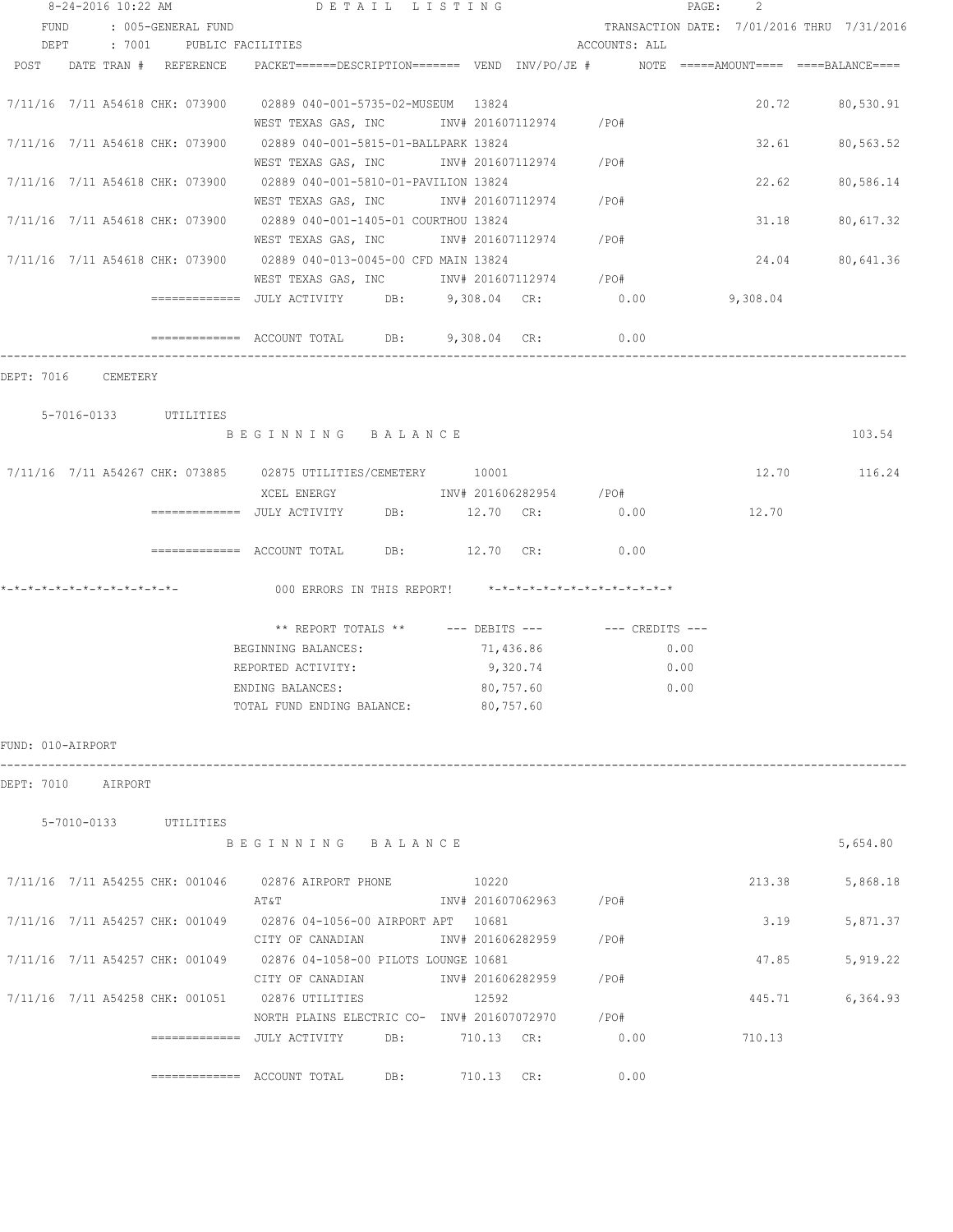| 8-24-2016 10:22 AM  |      | DETAIL LISTING             |                                                                                             |     | 2<br>PAGE: |                        |                                                      |                                            |           |
|---------------------|------|----------------------------|---------------------------------------------------------------------------------------------|-----|------------|------------------------|------------------------------------------------------|--------------------------------------------|-----------|
|                     | FUND | : 005-GENERAL FUND         |                                                                                             |     |            |                        |                                                      | TRANSACTION DATE: 7/01/2016 THRU 7/31/2016 |           |
|                     | DEPT | : 7001 PUBLIC FACILITIES   |                                                                                             |     |            |                        | ACCOUNTS: ALL                                        |                                            |           |
|                     |      | POST DATE TRAN # REFERENCE | PACKET======DESCRIPTION======= VEND INV/PO/JE #     NOTE =====AMOUNT==== ====BALANCE====    |     |            |                        |                                                      |                                            |           |
|                     |      |                            |                                                                                             |     |            |                        |                                                      |                                            |           |
|                     |      |                            | 7/11/16 7/11 A54618 CHK: 073900 02889 040-001-5735-02-MUSEUM 13824                          |     |            |                        |                                                      | 20.72 80,530.91                            |           |
|                     |      |                            | WEST TEXAS GAS, INC       INV# 201607112974     /PO#                                        |     |            |                        |                                                      |                                            |           |
|                     |      |                            | 7/11/16 7/11 A54618 CHK: 073900 02889 040-001-5815-01-BALLPARK 13824<br>WEST TEXAS GAS, INC |     |            | INV# 201607112974 /PO# |                                                      | 32.61 80,563.52                            |           |
|                     |      |                            |                                                                                             |     |            |                        |                                                      |                                            |           |
|                     |      |                            | 7/11/16 7/11 A54618 CHK: 073900 02889 040-001-5810-01-PAVILION 13824                        |     |            | INV# 201607112974 /PO# |                                                      | 22.62                                      | 80,586.14 |
|                     |      |                            | WEST TEXAS GAS, INC                                                                         |     |            |                        |                                                      |                                            |           |
|                     |      |                            | 7/11/16 7/11 A54618 CHK: 073900 02889 040-001-1405-01 COURTHOU 13824<br>WEST TEXAS GAS, INC |     |            | INV# 201607112974 /PO# |                                                      | 31.18                                      | 80,617.32 |
|                     |      |                            | 7/11/16 7/11 A54618 CHK: 073900 02889 040-013-0045-00 CFD MAIN 13824                        |     |            |                        |                                                      | 24.04                                      |           |
|                     |      |                            | WEST TEXAS GAS, INC 1NV# 201607112974 / PO#                                                 |     |            |                        |                                                      |                                            | 80,641.36 |
|                     |      |                            |                                                                                             |     |            |                        |                                                      |                                            |           |
|                     |      |                            |                                                                                             |     |            |                        | 0.00                                                 | 9,308.04                                   |           |
|                     |      |                            | ============= ACCOUNT TOTAL DB: 9,308.04 CR:                                                |     |            |                        | 0.00                                                 |                                            |           |
| DEPT: 7016 CEMETERY |      |                            |                                                                                             |     |            |                        |                                                      |                                            |           |
|                     |      |                            |                                                                                             |     |            |                        |                                                      |                                            |           |
|                     |      | 5-7016-0133 UTILITIES      |                                                                                             |     |            |                        |                                                      |                                            |           |
|                     |      |                            | BEGINNING BALANCE                                                                           |     |            |                        |                                                      |                                            | 103.54    |
|                     |      |                            |                                                                                             |     |            |                        |                                                      |                                            |           |
|                     |      |                            | 7/11/16 7/11 A54267 CHK: 073885 02875 UTILITIES/CEMETERY 10001                              |     |            |                        |                                                      | 12.70                                      | 116.24    |
|                     |      |                            | XCEL ENERGY                                                                                 |     |            | INV# 201606282954 /PO# |                                                      |                                            |           |
|                     |      |                            |                                                                                             |     |            |                        | 0.00                                                 | 12.70                                      |           |
|                     |      |                            | $\texttt{-----}$ ============ ACCOUNT TOTAL DB: $12.70$ CR:                                 |     |            |                        | 0.00                                                 |                                            |           |
|                     |      |                            | 000 ERRORS IN THIS REPORT! *-*-*-*-*-*-*-*-*-*-*-*-*-*-                                     |     |            |                        |                                                      |                                            |           |
|                     |      |                            |                                                                                             |     |            |                        | ** REPORT TOTALS ** --- DEBITS --- -- -- CREDITS --- |                                            |           |
|                     |      |                            | BEGINNING BALANCES:                                                                         |     |            | 71,436.86              | 0.00                                                 |                                            |           |
|                     |      |                            | REPORTED ACTIVITY:                                                                          |     |            | 9,320.74               | 0.00                                                 |                                            |           |
|                     |      |                            | ENDING BALANCES:                                                                            |     |            | 80,757.60              | 0.00                                                 |                                            |           |
|                     |      |                            | TOTAL FUND ENDING BALANCE: 80,757.60                                                        |     |            |                        |                                                      |                                            |           |
| FUND: 010-AIRPORT   |      |                            |                                                                                             |     |            |                        |                                                      |                                            |           |
|                     |      |                            |                                                                                             |     |            |                        |                                                      |                                            |           |
| DEPT: 7010 AIRPORT  |      |                            |                                                                                             |     |            |                        |                                                      |                                            |           |
|                     |      | 5-7010-0133 UTILITIES      |                                                                                             |     |            |                        |                                                      |                                            |           |
|                     |      |                            | BEGINNING BALANCE                                                                           |     |            |                        |                                                      |                                            | 5,654.80  |
|                     |      |                            |                                                                                             |     |            |                        |                                                      | 213.38                                     |           |
|                     |      |                            | 7/11/16 7/11 A54255 CHK: 001046 02876 AIRPORT PHONE 10220<br>AT&T                           |     |            | INV# 201607062963 /PO# |                                                      |                                            | 5,868.18  |
|                     |      |                            |                                                                                             |     |            |                        |                                                      |                                            |           |
|                     |      |                            | 7/11/16 7/11 A54257 CHK: 001049 02876 04-1056-00 AIRPORT APT 10681<br>CITY OF CANADIAN      |     |            | INV# 201606282959 /PO# |                                                      | 3.19                                       | 5,871.37  |
|                     |      |                            | 7/11/16 7/11 A54257 CHK: 001049 02876 04-1058-00 PILOTS LOUNGE 10681                        |     |            |                        |                                                      | 47.85                                      | 5,919.22  |
|                     |      |                            | CITY OF CANADIAN                                                                            |     |            | INV# 201606282959 /PO# |                                                      |                                            |           |
|                     |      |                            | 7/11/16 7/11 A54258 CHK: 001051 02876 UTILITIES                                             |     | 12592      |                        |                                                      | 445.71                                     | 6,364.93  |
|                     |      |                            | NORTH PLAINS ELECTRIC CO- INV# 201607072970 / PO#                                           |     |            |                        |                                                      |                                            |           |
|                     |      |                            |                                                                                             |     |            |                        | 0.00                                                 | 710.13                                     |           |
|                     |      |                            |                                                                                             |     |            |                        |                                                      |                                            |           |
|                     |      |                            |                                                                                             | DB: | 710.13 CR: |                        | 0.00                                                 |                                            |           |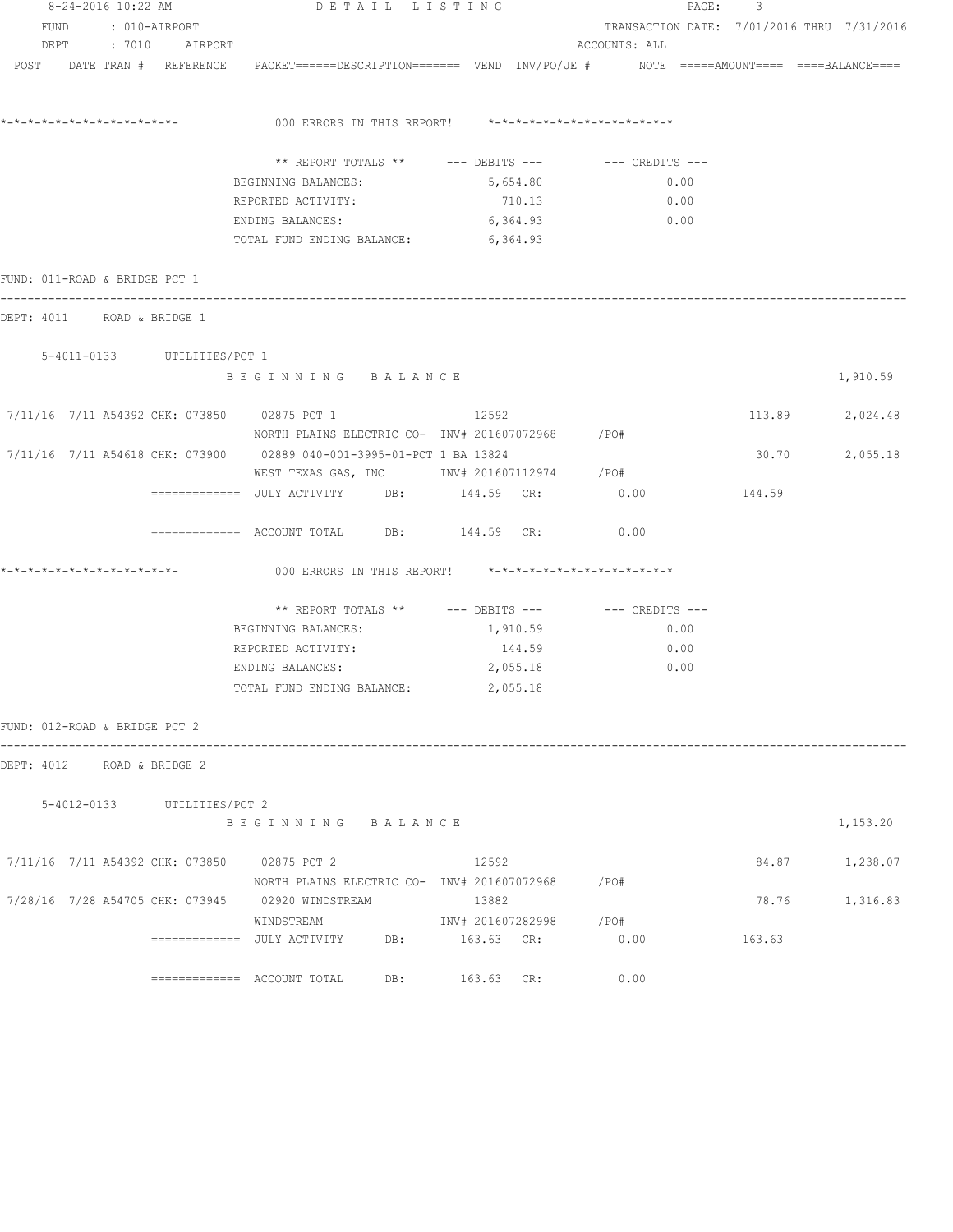| 8-24-2016 10:22 AM             |      |  | DETAIL LISTING                 |                                                                                                                 | PAGE:<br>3                                           |               |        |                                            |
|--------------------------------|------|--|--------------------------------|-----------------------------------------------------------------------------------------------------------------|------------------------------------------------------|---------------|--------|--------------------------------------------|
|                                | FUND |  | $: 010 - AIRPORT$              |                                                                                                                 |                                                      |               |        | TRANSACTION DATE: 7/01/2016 THRU 7/31/2016 |
|                                |      |  | DEPT : 7010 AIRPORT            |                                                                                                                 |                                                      | ACCOUNTS: ALL |        |                                            |
|                                |      |  |                                | POST DATE TRAN # REFERENCE PACKET======DESCRIPTION======= VEND INV/PO/JE # NOTE =====AMOUNT==== ====BALANCE==== |                                                      |               |        |                                            |
|                                |      |  |                                |                                                                                                                 |                                                      |               |        |                                            |
| *_*_*_*_*_*_*_*_*_*_*_*_*_*_*_ |      |  |                                | 000 ERRORS IN THIS REPORT! *-*-*-*-*-*-*-*-*-*-*-*-*-*-                                                         |                                                      |               |        |                                            |
|                                |      |  |                                |                                                                                                                 | ** REPORT TOTALS ** --- DEBITS --- -- -- CREDITS --- |               |        |                                            |
|                                |      |  |                                | BEGINNING BALANCES:                                                                                             | 5,654.80                                             | 0.00          |        |                                            |
|                                |      |  |                                | REPORTED ACTIVITY:                                                                                              | 710.13                                               | 0.00          |        |                                            |
|                                |      |  |                                | ENDING BALANCES:                                                                                                | 6,364.93                                             | 0.00          |        |                                            |
|                                |      |  |                                | TOTAL FUND ENDING BALANCE: 6,364.93                                                                             |                                                      |               |        |                                            |
|                                |      |  | FUND: 011-ROAD & BRIDGE PCT 1  |                                                                                                                 |                                                      |               |        |                                            |
|                                |      |  | DEPT: 4011 ROAD & BRIDGE 1     |                                                                                                                 |                                                      |               |        |                                            |
|                                |      |  | 5-4011-0133 UTILITIES/PCT 1    |                                                                                                                 |                                                      |               |        |                                            |
|                                |      |  |                                | BEGINNING BALANCE                                                                                               |                                                      |               |        | 1,910.59                                   |
|                                |      |  |                                | 7/11/16 7/11 A54392 CHK: 073850 02875 PCT 1                                                                     | 12592                                                |               |        | 113.89 2,024.48                            |
|                                |      |  |                                | NORTH PLAINS ELECTRIC CO- INV# 201607072968 /PO#                                                                |                                                      |               |        |                                            |
|                                |      |  |                                | 7/11/16 7/11 A54618 CHK: 073900 02889 040-001-3995-01-PCT 1 BA 13824                                            |                                                      |               |        | 30.70<br>2,055.18                          |
|                                |      |  |                                | WEST TEXAS GAS, INC     INV# 201607112974   /PO#                                                                |                                                      |               |        |                                            |
|                                |      |  |                                |                                                                                                                 |                                                      |               | 144.59 |                                            |
|                                |      |  |                                | $\overline{\phantom{z}}$ ============ ACCOUNT TOTAL DB: 144.59 CR:                                              |                                                      | 0.00          |        |                                            |
|                                |      |  | *_*_*_*_*_*_*_*_*_*_*_*_*_*_*_ | 000 ERRORS IN THIS REPORT! *-*-*-*-*-*-*-*-*-*-*-*-*-*-                                                         |                                                      |               |        |                                            |
|                                |      |  |                                |                                                                                                                 | ** REPORT TOTALS ** --- DEBITS --- -- -- CREDITS --- |               |        |                                            |
|                                |      |  |                                | BEGINNING BALANCES:                                                                                             | 1,910.59                                             | 0.00          |        |                                            |
|                                |      |  |                                | REPORTED ACTIVITY:                                                                                              | 144.59                                               | 0.00          |        |                                            |
|                                |      |  |                                | ENDING BALANCES:                                                                                                | 2,055.18                                             | 0.00          |        |                                            |
|                                |      |  |                                | TOTAL FUND ENDING BALANCE:                                                                                      | 2,055.18                                             |               |        |                                            |
|                                |      |  | FUND: 012-ROAD & BRIDGE PCT 2  |                                                                                                                 |                                                      |               |        |                                            |
| DEPT: 4012                     |      |  | ROAD & BRIDGE 2                |                                                                                                                 |                                                      |               |        |                                            |
|                                |      |  | 5-4012-0133 UTILITIES/PCT 2    |                                                                                                                 |                                                      |               |        |                                            |
|                                |      |  |                                | BEGINNING BALANCE                                                                                               |                                                      |               |        | 1,153.20                                   |
|                                |      |  |                                | 7/11/16 7/11 A54392 CHK: 073850 02875 PCT 2                                                                     | 12592                                                |               |        | 84.87<br>1,238.07                          |
|                                |      |  |                                | NORTH PLAINS ELECTRIC CO- INV# 201607072968 / PO#                                                               |                                                      |               |        |                                            |
|                                |      |  |                                | 7/28/16 7/28 A54705 CHK: 073945 02920 WINDSTREAM                                                                | 13882                                                |               |        | 78.76 1,316.83                             |
|                                |      |  |                                | WINDSTREAM 1NV# 201607282998 /PO#                                                                               |                                                      |               |        |                                            |
|                                |      |  |                                | ============= JULY ACTIVITY DB: 163.63 CR: 0.00                                                                 |                                                      |               | 163.63 |                                            |
|                                |      |  |                                | $\text{---}\text{---}\text{---}\text{---}$ ACCOUNT TOTAL DB: $163.63$ CR:                                       |                                                      | 0.00          |        |                                            |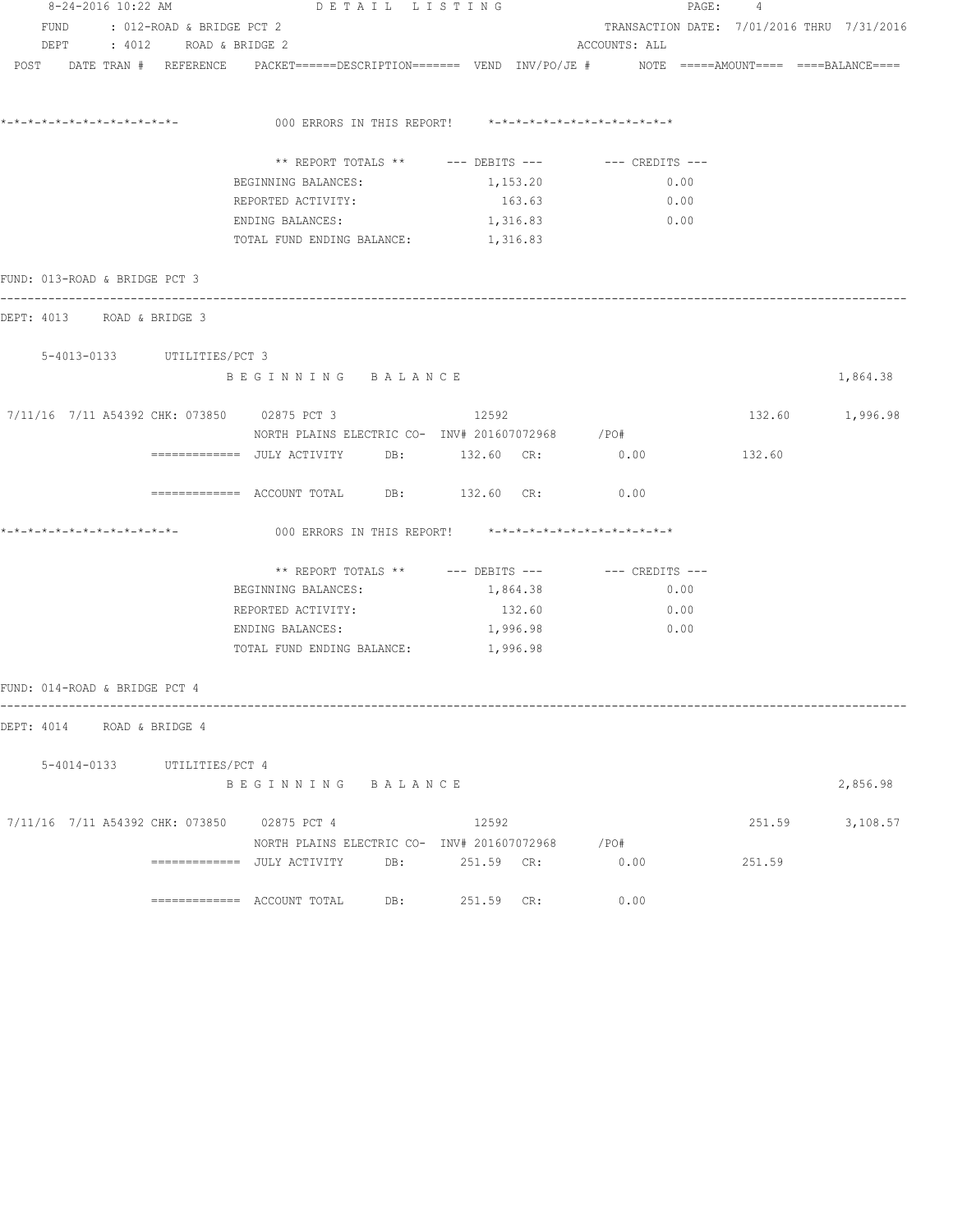| 8-24-2016 10:22 AM                          |                                      | DETAIL LISTING                                                                                                  |                                                         | PAGE: 4                                    |        |                 |
|---------------------------------------------|--------------------------------------|-----------------------------------------------------------------------------------------------------------------|---------------------------------------------------------|--------------------------------------------|--------|-----------------|
|                                             | FUND: 012-ROAD & BRIDGE PCT 2        |                                                                                                                 |                                                         | TRANSACTION DATE: 7/01/2016 THRU 7/31/2016 |        |                 |
|                                             | DEPT : 4012 ROAD & BRIDGE 2          |                                                                                                                 |                                                         | ACCOUNTS: ALL                              |        |                 |
|                                             |                                      | POST DATE TRAN # REFERENCE PACKET======DESCRIPTION======= VEND INV/PO/JE # NOTE =====AMOUNT==== ====BALANCE==== |                                                         |                                            |        |                 |
|                                             |                                      |                                                                                                                 | 000 ERRORS IN THIS REPORT! *-*-*-*-*-*-*-*-*-*-*-*-*-*- |                                            |        |                 |
|                                             |                                      |                                                                                                                 |                                                         |                                            |        |                 |
|                                             |                                      |                                                                                                                 | ** REPORT TOTALS ** $---$ DEBITS --- $---$ CREDITS ---  |                                            |        |                 |
|                                             |                                      | BEGINNING BALANCES:                                                                                             | 1,153.20                                                | 0.00                                       |        |                 |
|                                             |                                      | REPORTED ACTIVITY:                                                                                              | 163.63                                                  | 0.00                                       |        |                 |
|                                             |                                      | ENDING BALANCES:                                                                                                | 1,316.83                                                | 0.00                                       |        |                 |
|                                             |                                      | TOTAL FUND ENDING BALANCE: 1,316.83                                                                             |                                                         |                                            |        |                 |
| FUND: 013-ROAD & BRIDGE PCT 3               |                                      |                                                                                                                 |                                                         |                                            |        |                 |
| DEPT: 4013 ROAD & BRIDGE 3                  | ____________________________________ |                                                                                                                 |                                                         |                                            |        |                 |
|                                             | 5-4013-0133 UTILITIES/PCT 3          |                                                                                                                 |                                                         |                                            |        |                 |
|                                             |                                      | BEGINNING BALANCE                                                                                               |                                                         |                                            |        | 1,864.38        |
| 7/11/16 7/11 A54392 CHK: 073850 02875 PCT 3 |                                      |                                                                                                                 | 12592                                                   |                                            |        | 132.60 1,996.98 |
|                                             |                                      | NORTH PLAINS ELECTRIC CO- INV# 201607072968 /PO#                                                                |                                                         |                                            |        |                 |
|                                             |                                      | =============    JULY  ACTIVITY         DB:              132.60     CR:                    0.00                 |                                                         |                                            | 132.60 |                 |
|                                             |                                      | ============ ACCOUNT TOTAL DB: 132.60 CR: 0.00                                                                  |                                                         |                                            |        |                 |
|                                             |                                      |                                                                                                                 | 000 ERRORS IN THIS REPORT! *-*-*-*-*-*-*-*-*-*-*-*-*-*- |                                            |        |                 |
|                                             |                                      |                                                                                                                 | ** REPORT TOTALS ** --- DEBITS --- -- -- CREDITS ---    |                                            |        |                 |
|                                             |                                      | BEGINNING BALANCES:                                                                                             | 1,864.38                                                | 0.00                                       |        |                 |
|                                             |                                      | REPORTED ACTIVITY:                                                                                              | 132.60                                                  | 0.00                                       |        |                 |
|                                             |                                      | ENDING BALANCES:                                                                                                | 1,996.98                                                | 0.00                                       |        |                 |
|                                             |                                      | TOTAL FUND ENDING BALANCE: 1,996.98                                                                             |                                                         |                                            |        |                 |
| FUND: 014-ROAD & BRIDGE PCT 4               |                                      |                                                                                                                 |                                                         |                                            |        |                 |
| DEPT: 4014 ROAD & BRIDGE 4                  |                                      |                                                                                                                 |                                                         |                                            |        |                 |
|                                             | 5-4014-0133 UTILITIES/PCT 4          |                                                                                                                 |                                                         |                                            |        |                 |
|                                             |                                      | BEGINNING BALANCE                                                                                               |                                                         |                                            |        | 2,856.98        |
| 7/11/16 7/11 A54392 CHK: 073850 02875 PCT 4 |                                      |                                                                                                                 | 12592                                                   |                                            | 251.59 | 3,108.57        |
|                                             |                                      |                                                                                                                 | NORTH PLAINS ELECTRIC CO- INV# 201607072968 /PO#        |                                            |        |                 |
|                                             |                                      |                                                                                                                 |                                                         | 0.00                                       | 251.59 |                 |
|                                             |                                      |                                                                                                                 | 251.59 CR:                                              | 0.00                                       |        |                 |